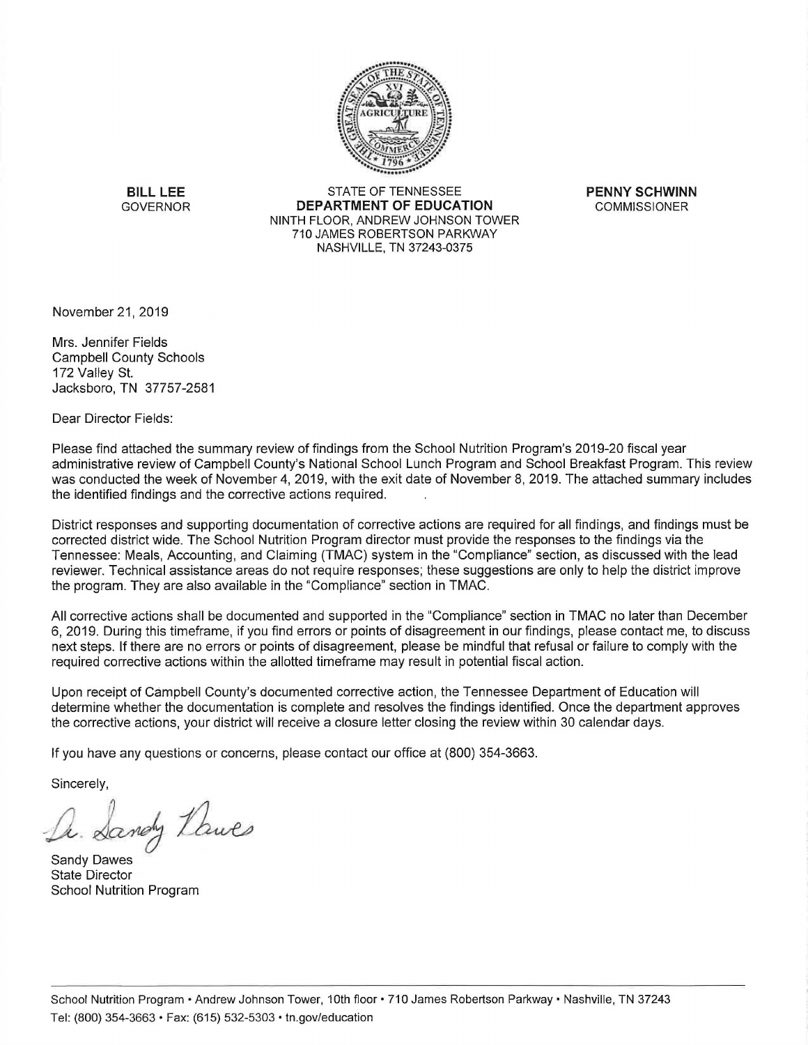

**BILL LEE** STATE OF TENNESSEE **PENNY SCHWINN**  GOVERNOR **DEPARTMENT OF EDUCATION** COMMISSIONER NINTH FLOOR, ANDREW JOHNSON TOWER 710 JAMES ROBERTSON PARKWAY NASHVILLE, TN 37243-0375

November 21, 2019

Mrs. Jennifer Fields Campbell County Schools 172 Valley St. Jacksboro, TN 37757-2581

Dear Director Fields:

Please find attached the summary review of findings from the School Nutrition Program's 2019-20 fiscal year administrative review of Campbell County's National School Lunch Program and School Breakfast Program. This review was conducted the week of November 4, 2019, with the exit date of November 8, 2019. The attached summary includes the identified findings and the corrective actions required.

District responses and supporting documentation of corrective actions are required for all findings, and findings must be corrected district wide. The School Nutrition Program director must provide the responses to the findings via the Tennessee: Meals, Accounting, and Claiming (TMAC) system in the "Compliance" section, as discussed with the lead reviewer. Technical assistance areas do not require responses; these suggestions are only to help the district improve the program. They are also available in the "Compliance" section in TMAC.

All corrective actions shall be documented and supported in the "Compliance" section in TMAC no later than December 6, 2019. During this timeframe, if you find errors or points of disagreement in our findings, please contact me, to discuss next steps. If there are no errors or points of disagreement, please be mindful that refusal or failure to comply with the required corrective actions within the allotted timeframe may result in potential fiscal action.

Upon receipt of Campbell County's documented corrective action, the Tennessee Department of Education will determine whether the documentation is complete and resolves the findings identified. Once the department approves the corrective actions, your district will receive a closure letter closing the review within 30 calendar days.

If you have any questions or concerns, please contact our office at (800) 354-3663.

Sincerely,

Sandy Lawes

Sandy Dawes State Director School Nutrition Program